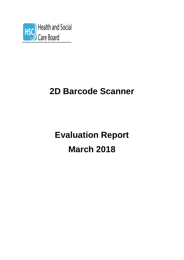

# **2D Barcode Scanner**

# **Evaluation Report March 2018**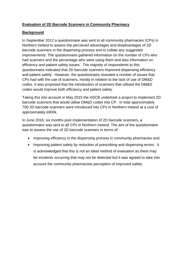# **Evaluation of 2D Barcode Scanners in Community Pharmacy**

# **Background**

In September 2012 a questionnaire was sent to all community pharmacies (CPs) in Northern Ireland to assess the perceived advantages and disadvantages of 2D barcode scanners in the dispensing process and to collate any suggested improvements. The questionnaire gathered information on the number of CPs who had scanners and the percentage who were using them and also information on efficiency and patient safety issues. The majority of respondents to this questionnaire indicated that 2D barcode scanners improved dispensing efficiency and patient safety. However, the questionnaire revealed a number of issues that CPs had with the use of scanners, mostly in relation to the lack of use of DM&D codes. It was proposed that the introduction of scanners that utilised the DM&D codes would improve both efficiency and patient safety.

Taking this into account in May 2015 the HSCB undertook a project to implement 2D barcode scanners that would utilise DM&D codes into CP. In total approximately 700 2D barcode scanners were introduced into CPs in Northern Ireland at a cost of approximately £800k.

In June 2016, six months post implementation of 2D barcode scanners, a questionnaire was sent to all CPs in Northern Ireland. The aim of the questionnaire was to assess the use of 2D barcode scanners in terms of:

- Improving efficiency in the dispensing process in community pharmacies and,
- Improving patient safety by reduction of prescribing and dispensing errors. It is acknowledged that this is not an ideal method of evaluation as there may be incidents occurring that may not be detected but it was agreed to take into account the community pharmacists perception of improved safety.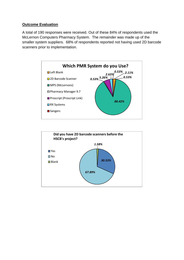#### **Outcome Evaluation**

A total of 190 responses were received. Out of these 84% of respondents used the McLernon Computers Pharmacy System. The remainder was made up of the smaller system suppliers. 68% of respondents reported not having used 2D barcode scanners prior to implementation.



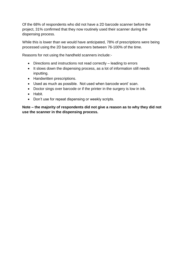Of the 68% of respondents who did not have a 2D barcode scanner before the project, 31% confirmed that they now routinely used their scanner during the dispensing process.

While this is lower than we would have anticipated, 78% of prescriptions were being processed using the 2D barcode scanners between 76-100% of the time.

Reasons for not using the handheld scanners include:-

- Directions and instructions not read correctly leading to errors
- It slows down the dispensing process, as a lot of information still needs inputting.
- Handwritten prescriptions.
- Used as much as possible. Not used when barcode wont' scan.
- Doctor sings over barcode or if the printer in the surgery is low in ink.
- Habit.
- Don't use for repeat dispensing or weekly scripts.

**Note – the majority of respondents did not give a reason as to why they did not use the scanner in the dispensing process.**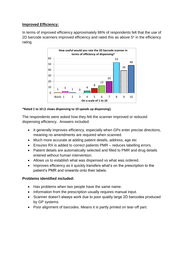## **Improved Efficiency:**

In terms of improved efficiency approximately 86% of respondents felt that the use of 2D barcode scanners improved efficiency and rated this as above 5\* in the efficiency rating.



#### **\*Rated 1 to 10 (1 slows dispensing to 10 speeds up dispensing).**

The respondents were asked how they felt the scanner improved or reduced dispensing efficiency. Answers included:

- It generally improves efficiency, especially when GPs enter precise directions, meaning no amendments are required when scanned.
- Much more accurate at adding patient details, address, age etc
- Ensures RX is added to correct patients PMR reduces labelling errors.
- Patient details are automatically selected and filled to PMR and drug details entered without human intervention.
- Allows us to establish what was dispensed vs what was ordered.
- Improves efficiency as it quickly transfers what's on the prescription to the patient's PMR and onwards onto their labels.

# **Problems identified included:**

- Has problems when two people have the same name.
- Information from the prescription usually requires manual input.
- Scanner doesn't always work due to poor quality large 2D barcodes produced by GP systems.
- Poor alignment of barcodes. Means it is partly printed on tear-off part.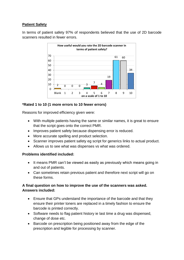# **Patient Safety**

In terms of patient safety 97% of respondents believed that the use of 2D barcode scanners resulted in fewer errors.



#### **\*Rated 1 to 10 (1 more errors to 10 fewer errors)**

Reasons for improved efficiency given were:

- With multiple patients having the same or similar names, it is great to ensure that the script goes onto the correct PMR.
- Improves patient safety because dispensing error is reduced.
- More accurate spelling and product selection.
- Scanner improves patient safety eg script for generics links to actual product.
- Allows us to see what was dispenses vs what was ordered.

#### **Problems identified included:**

- It means PMR can't be viewed as easily as previously which means going in and out of patients.
- Can sometimes retain previous patient and therefore next script will go on these forms.

### **A final question on how to improve the use of the scanners was asked. Answers included:**

- Ensure that GPs understand the importance of the barcode and that they ensure their printer toners are replaced in a timely fashion to ensure the barcode is printed correctly.
- Software needs to flag patient history ie last time a drug was dispensed, change of dose etc.
- Barcode on prescription being positioned away from the edge of the prescription and legible for processing by scanner.